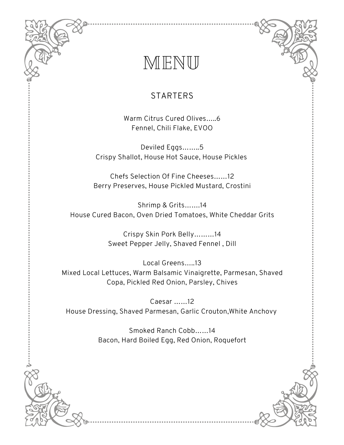## MENU

## **STARTERS**

Warm Citrus Cured Olives…..6 Fennel, Chili Flake, EVOO

Deviled Eggs……..5 Crispy Shallot, House Hot Sauce, House Pickles

Chefs Selection Of Fine Cheeses……12 Berry Preserves, House Pickled Mustard, Crostini

Shrimp & Grits…….14 House Cured Bacon, Oven Dried Tomatoes, White Cheddar Grits

> Crispy Skin Pork Belly………14 Sweet Pepper Jelly, Shaved Fennel , Dill

Local Greens…..13 Mixed Local Lettuces, Warm Balsamic Vinaigrette, Parmesan, Shaved Copa, Pickled Red Onion, Parsley, Chives

Caesar ……12 House Dressing, Shaved Parmesan, Garlic Crouton,White Anchovy

> Smoked Ranch Cobb……14 Bacon, Hard Boiled Egg, Red Onion, Roquefort